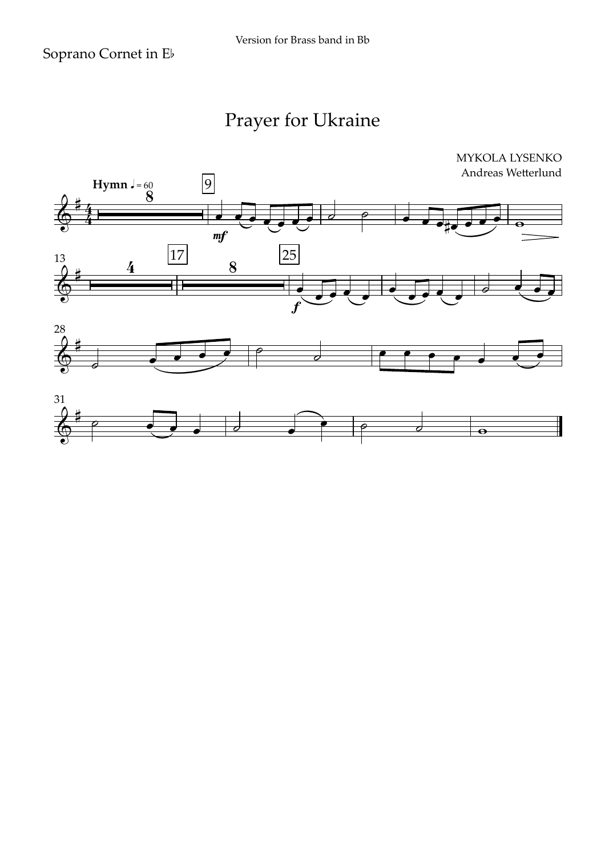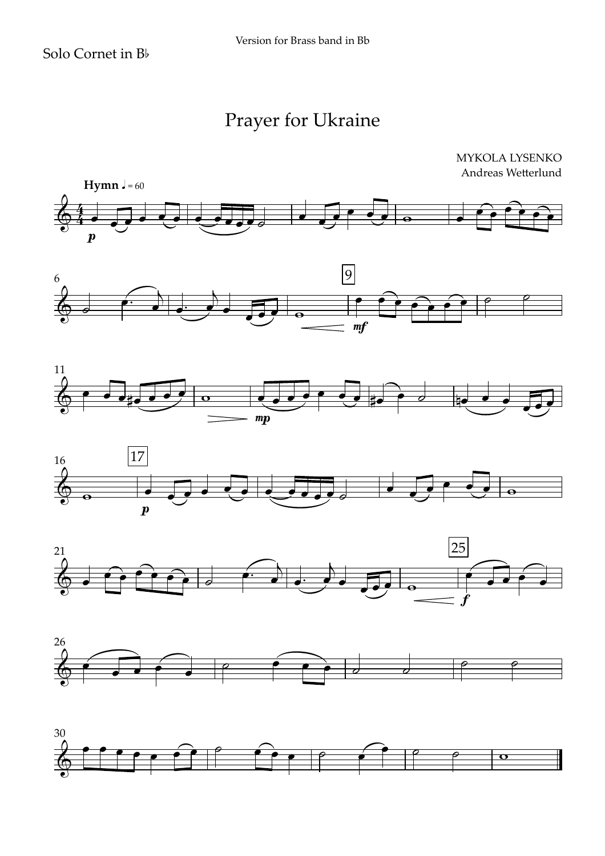MYKOLA LYSENKO Andreas Wetterlund













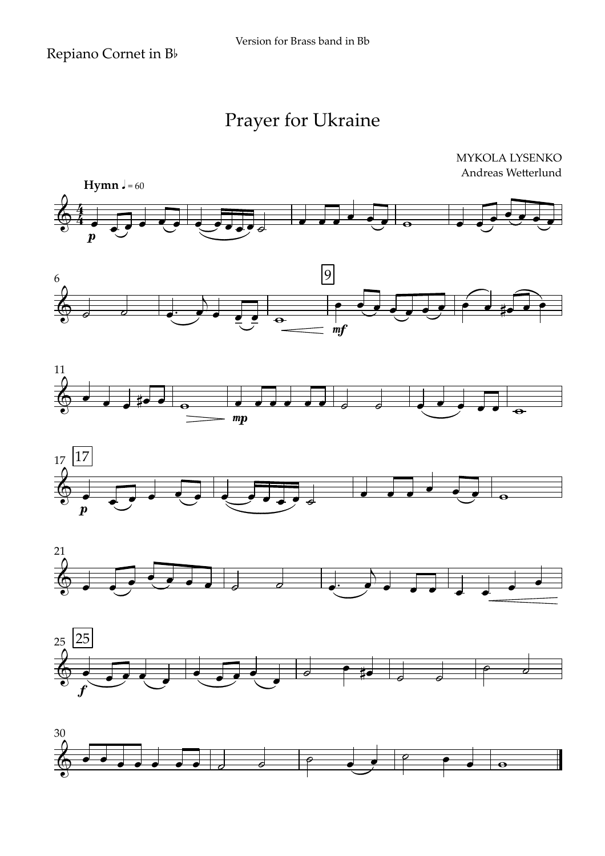











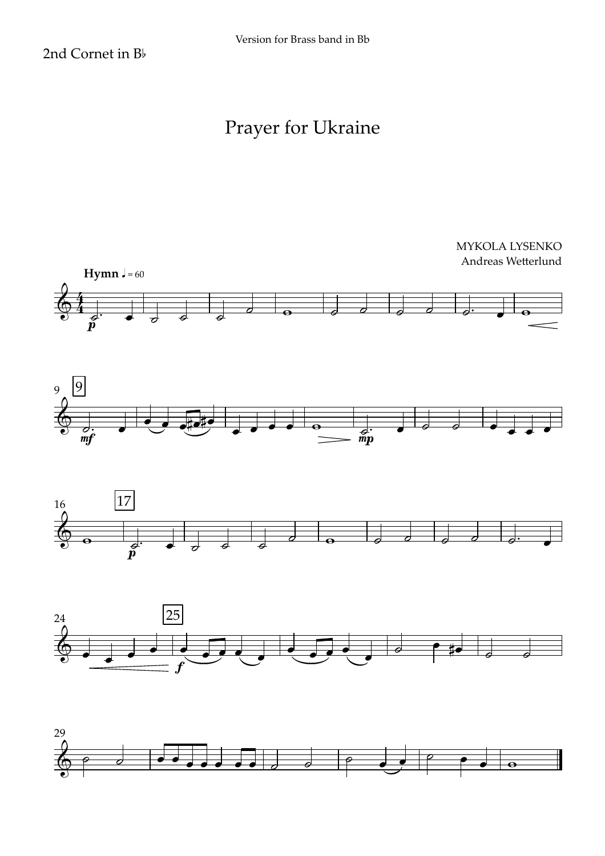Version for Brass band in Bb

2nd Cornet in Bb



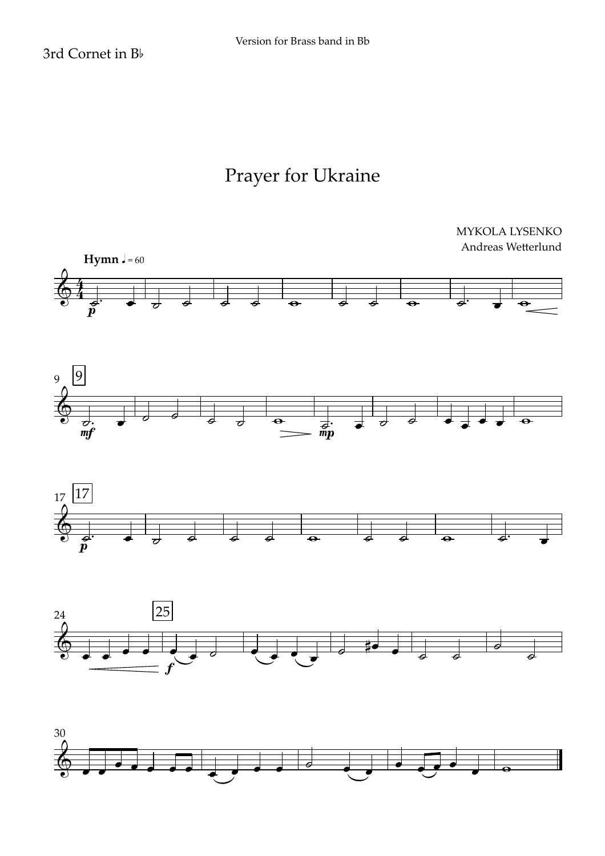3rd Cornet in Bb

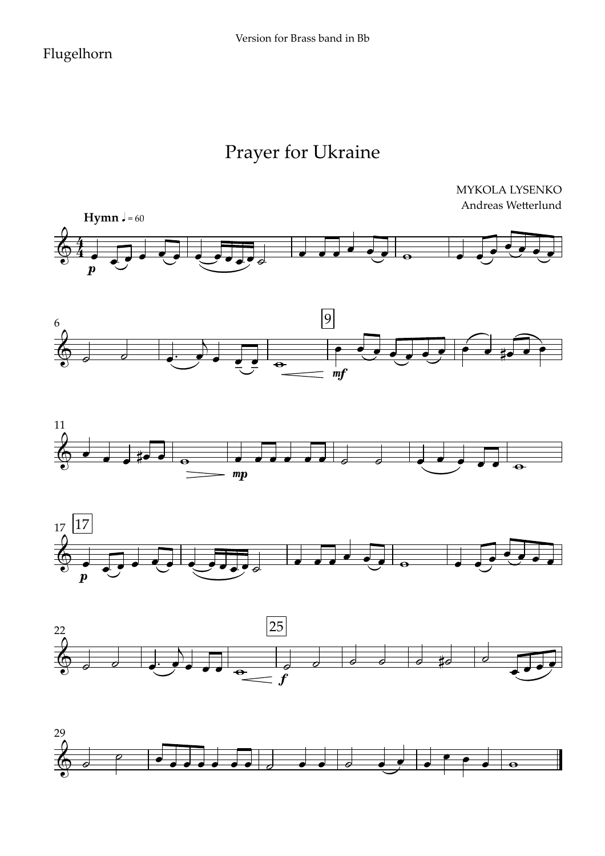#### Flugelhorn

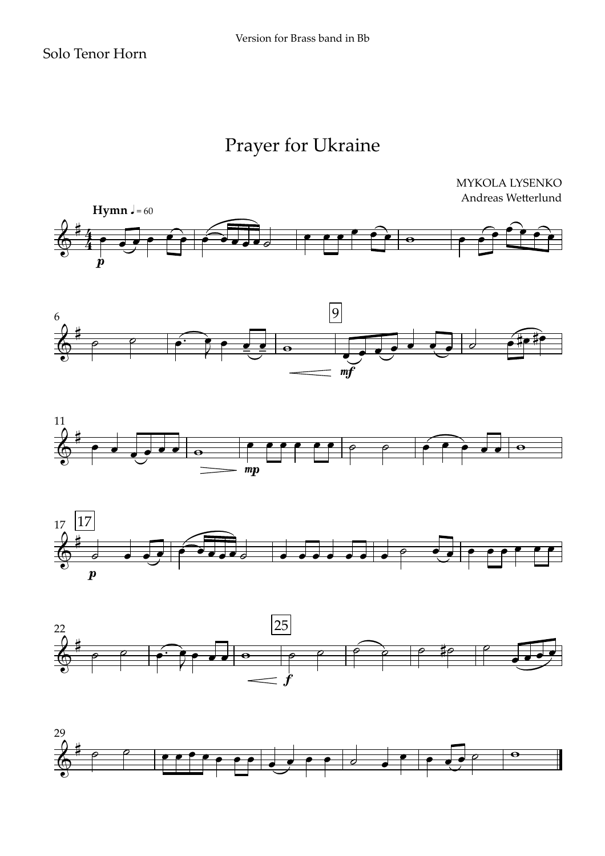







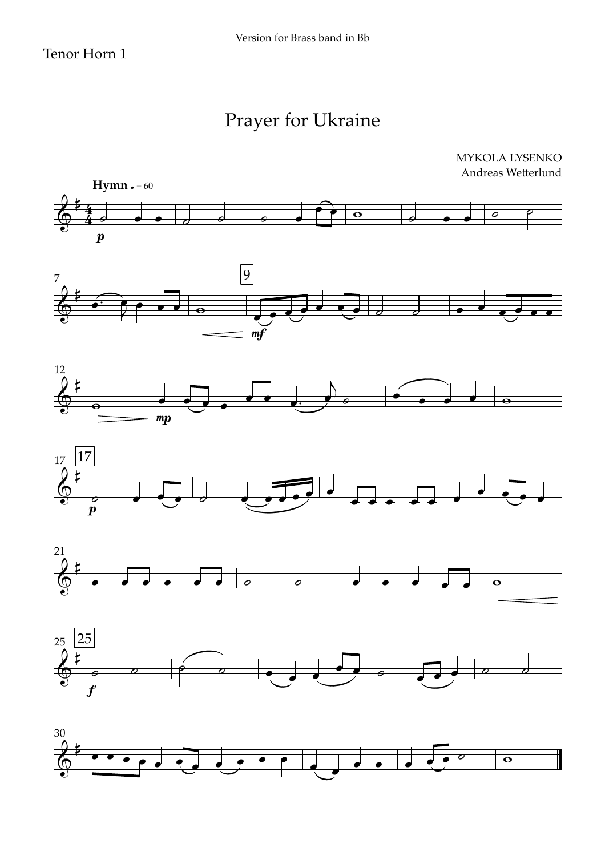#### Tenor Horn 1

# Prayer for Ukraine











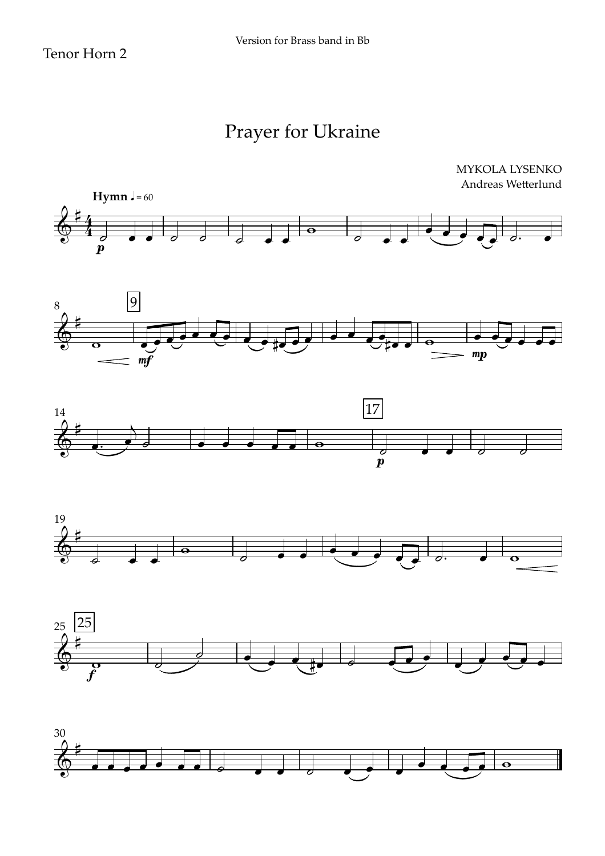#### Tenor Horn 2











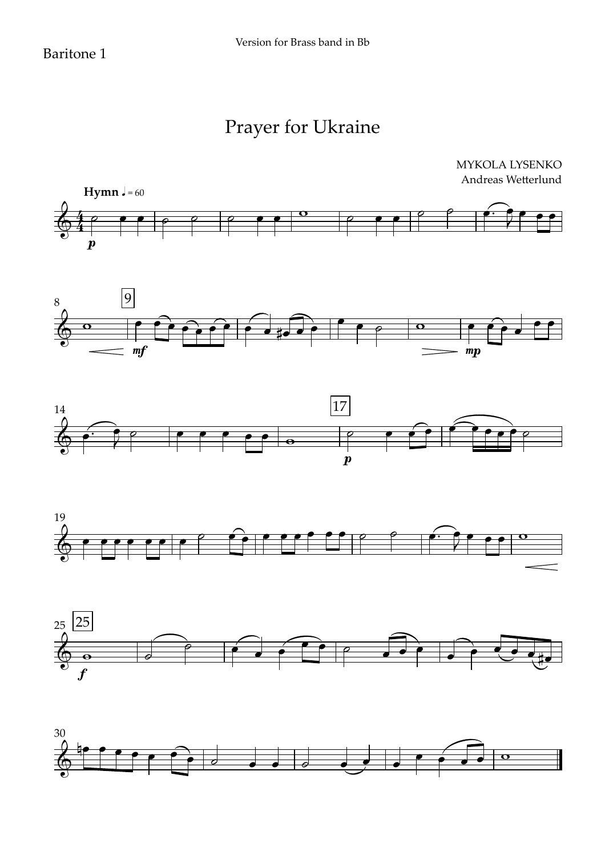#### Baritone 1

#### Prayer for Ukraine

MYKOLA LYSENKO











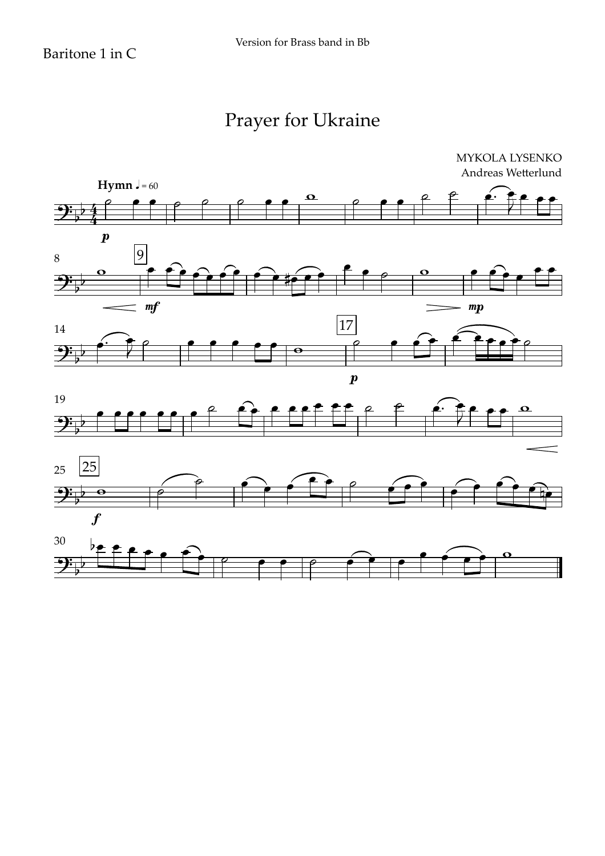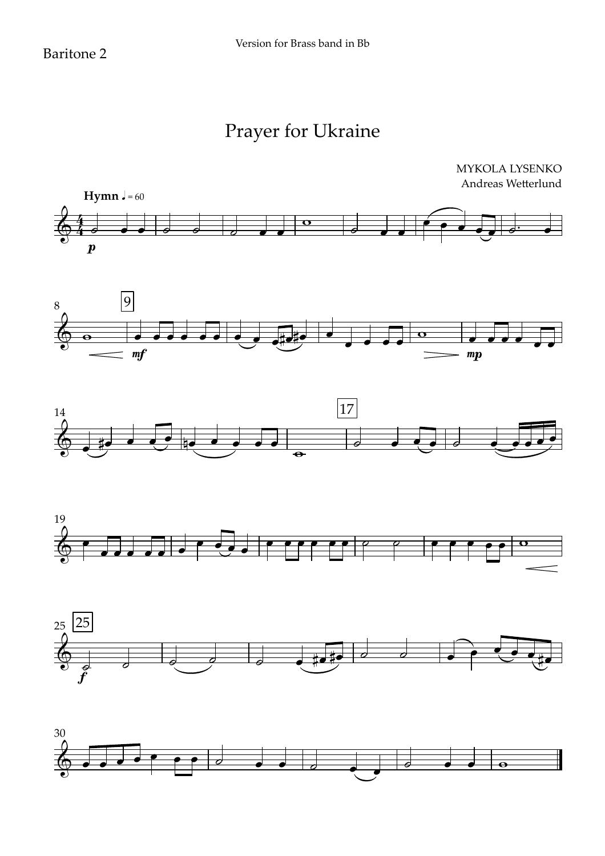#### Baritone 2

#### Prayer for Ukraine











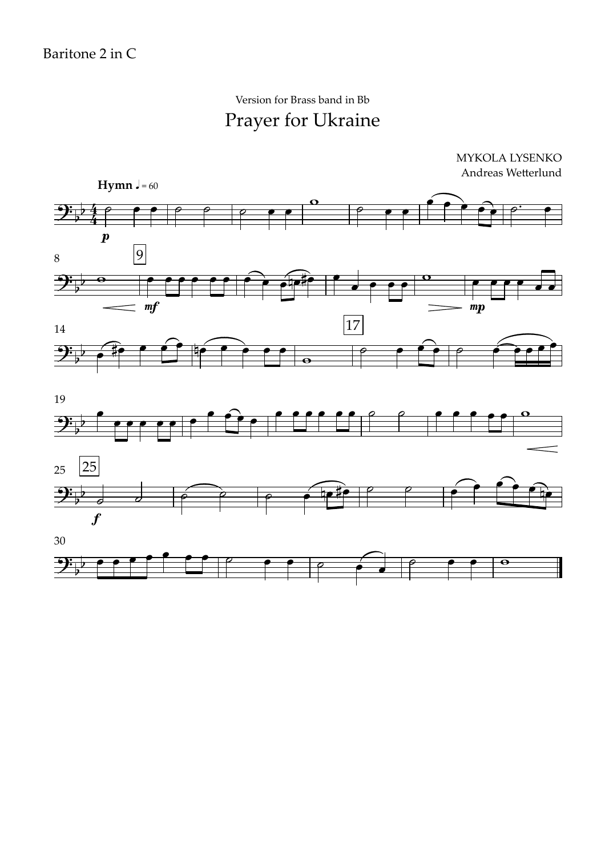#### Prayer for Ukraine Version for Brass band in Bb

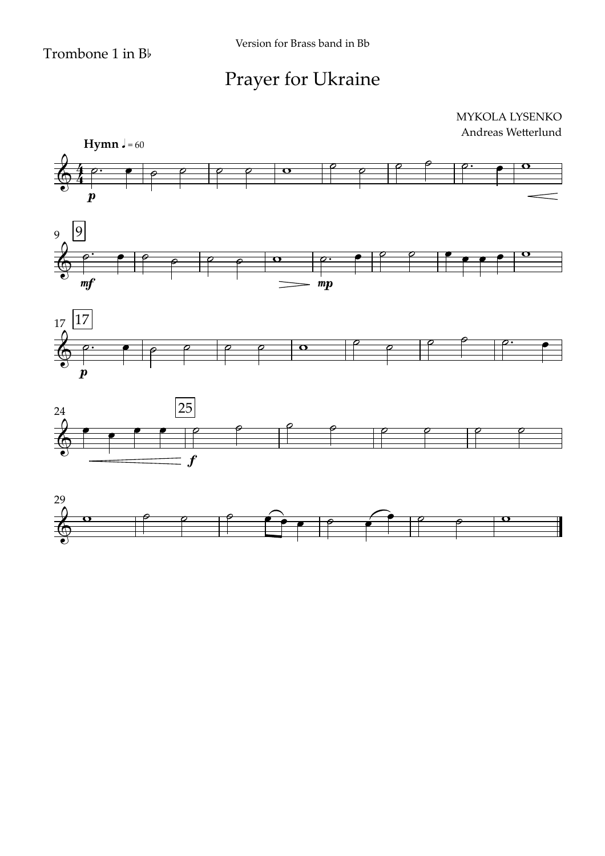





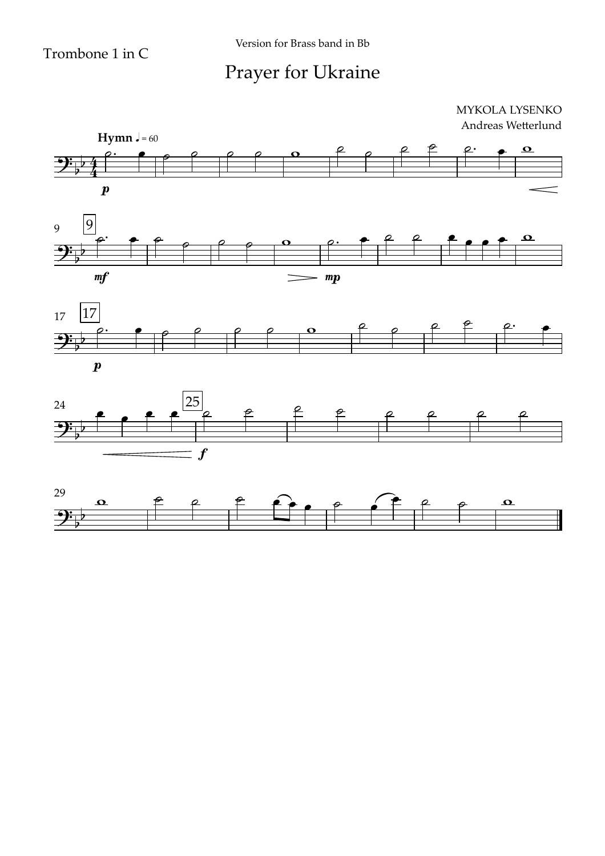Version for Brass band in Bb

#### Prayer for Ukraine







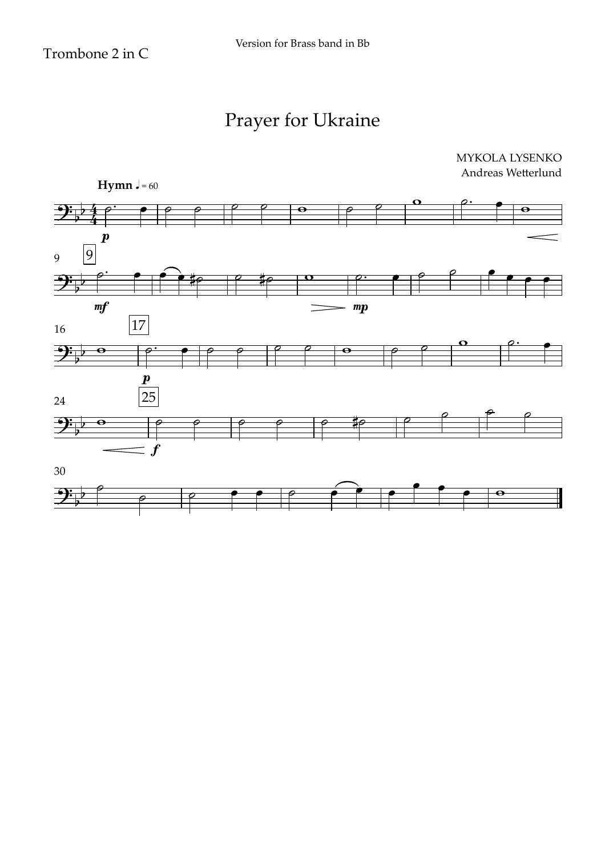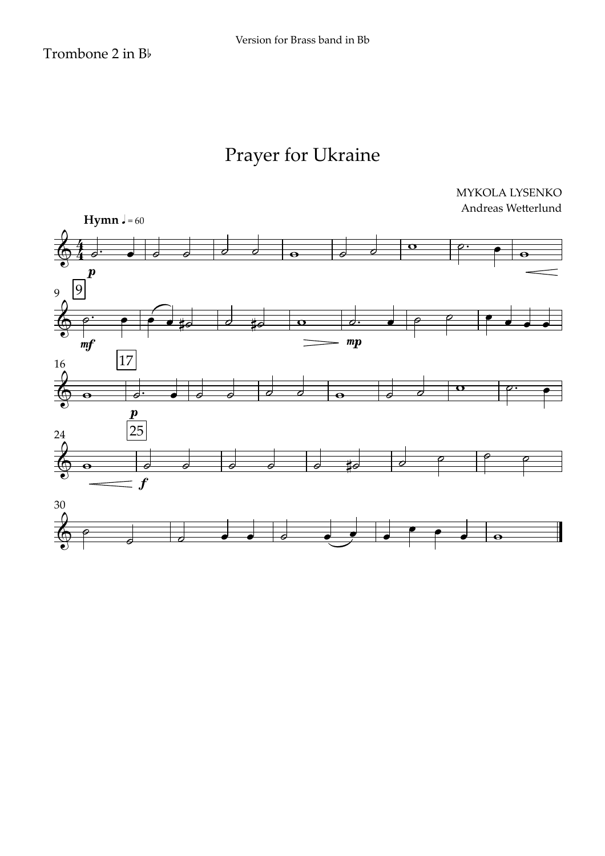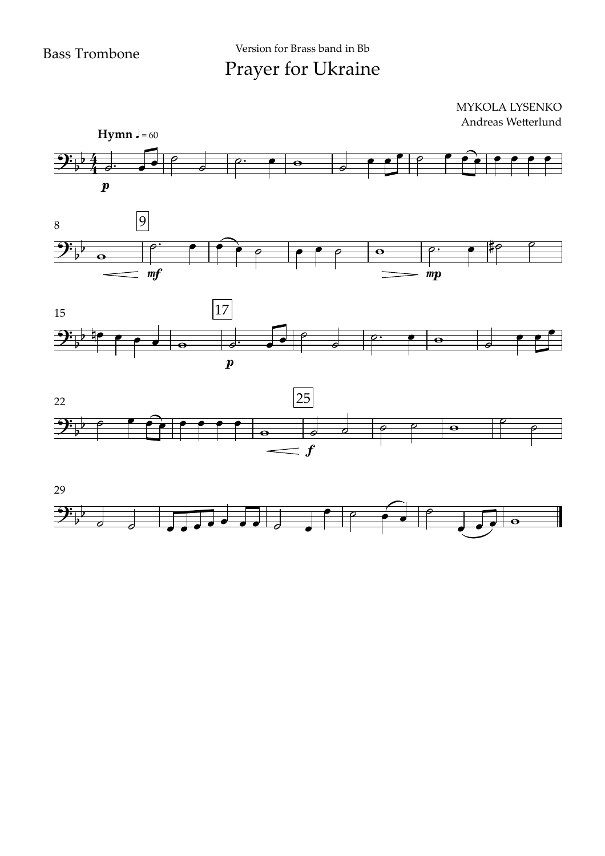Prayer for Ukraine Version for Brass band in Bb

#### $\boldsymbol{p}$ **Hymn**  $J = 60$ 8 9  $9:74$  $\frac{1}{2}$  $\frac{1}{2}$ MYKOLA LYSENKO Andreas Wetterlund  $\theta$   $\theta$  $\begin{array}{c|c} \hline \bullet & \bullet \\ \hline \bullet & \bullet \end{array}$  $\theta$   $\rho$ .  $\overline{w}$   $\overline{w}$   $\overline{w}$   $\overline{w}$   $\overline{w}$   $\overline{w}$   $\overline{w}$   $\overline{w}$   $\overline{w}$   $\overline{w}$   $\overline{w}$   $\overline{w}$   $\overline{w}$   $\overline{w}$   $\overline{w}$   $\overline{w}$   $\overline{w}$   $\overline{w}$   $\overline{w}$   $\overline{w}$   $\overline{w}$   $\overline{w}$   $\overline{w}$   $\overline{w}$   $\overline{$  $e$   $e^+$   $e^$  $e$   $e$   $e$   $e$   $e$   $e$   $e$   $e$







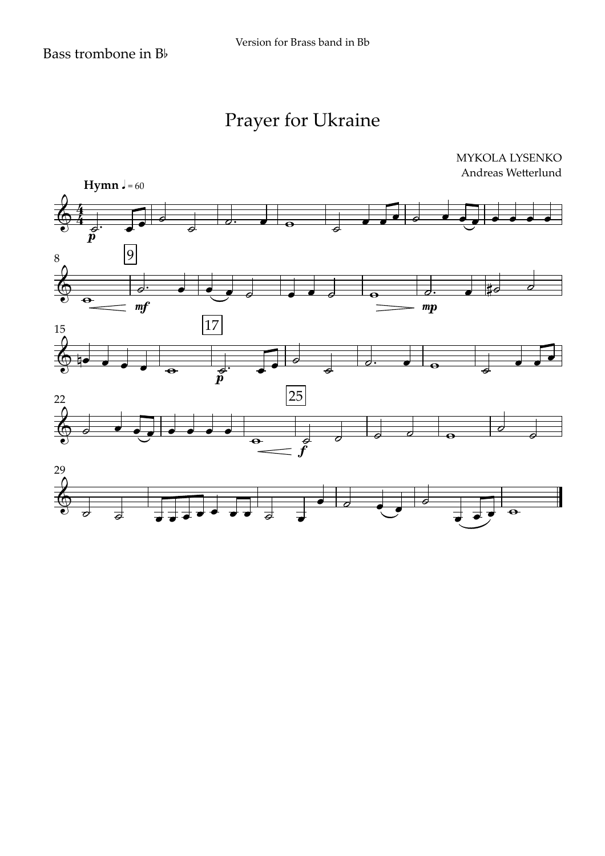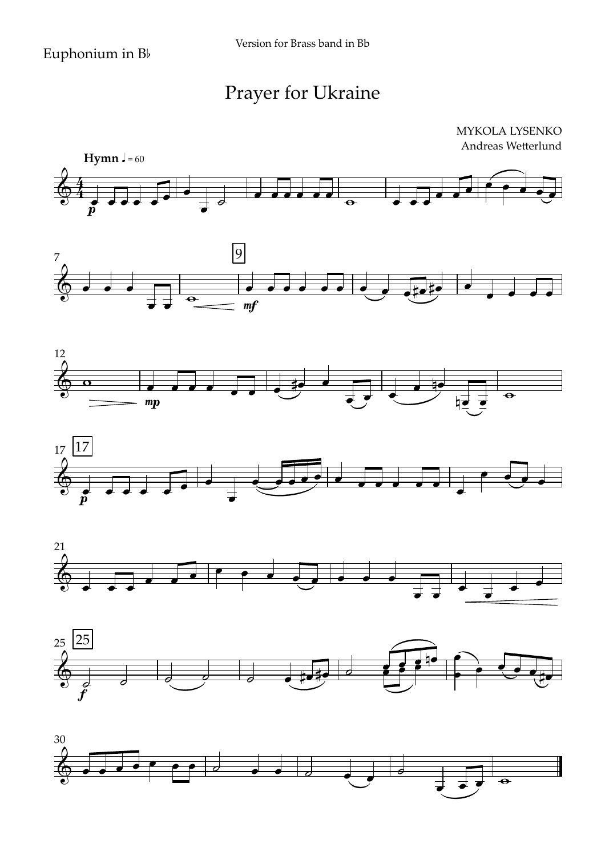









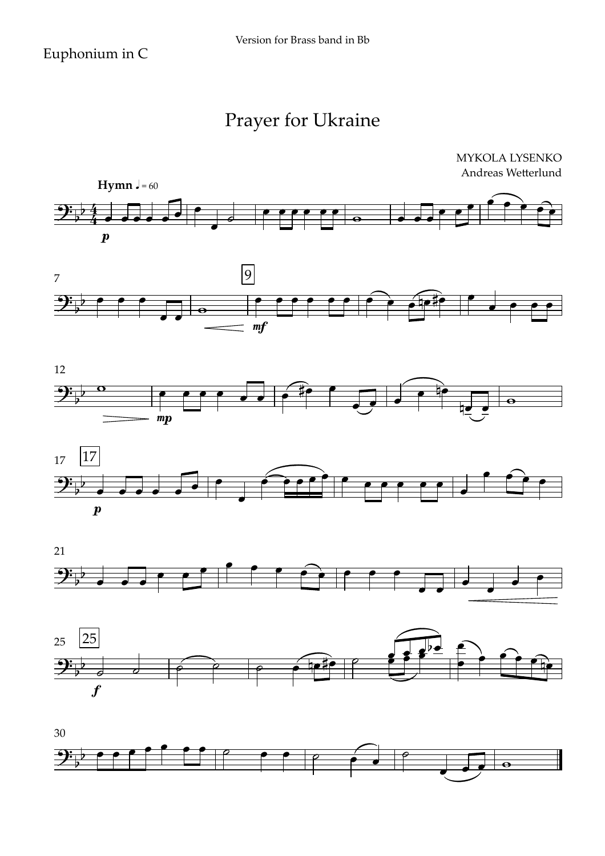









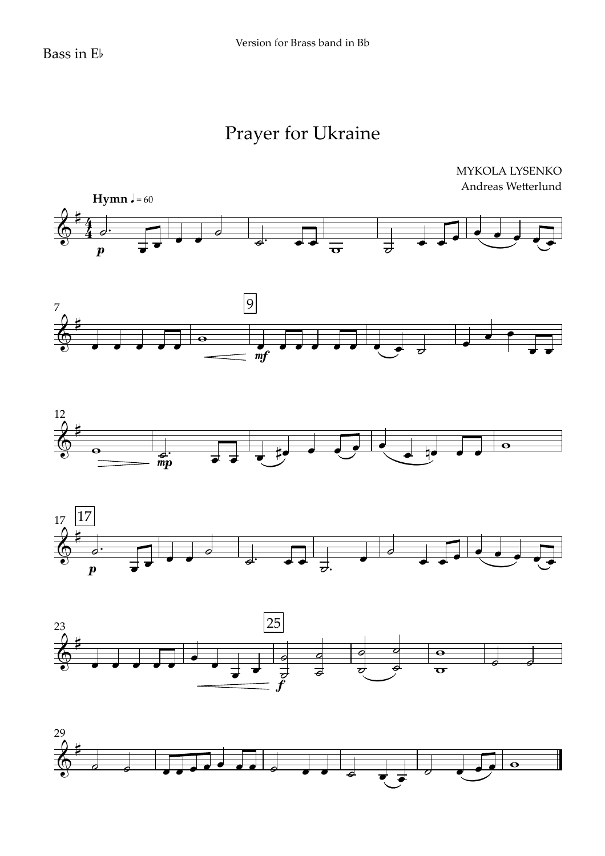









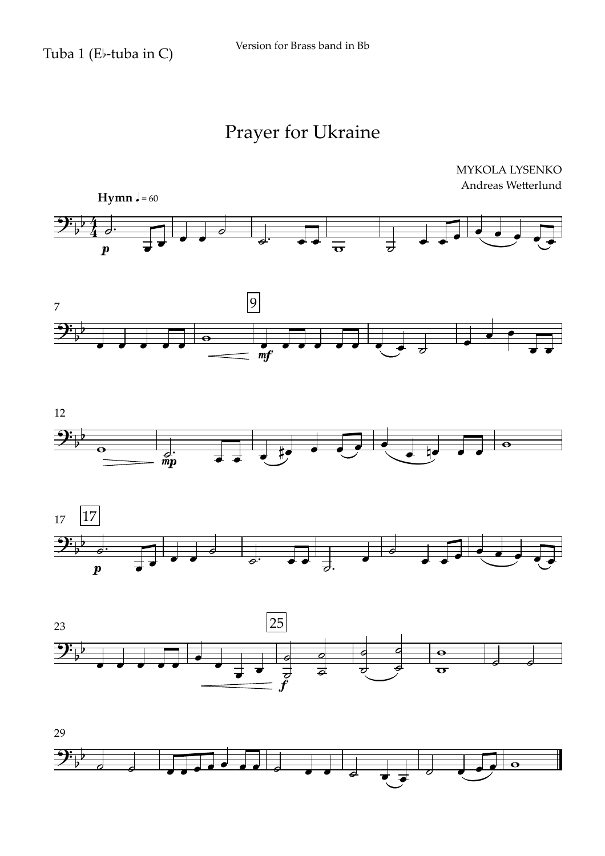









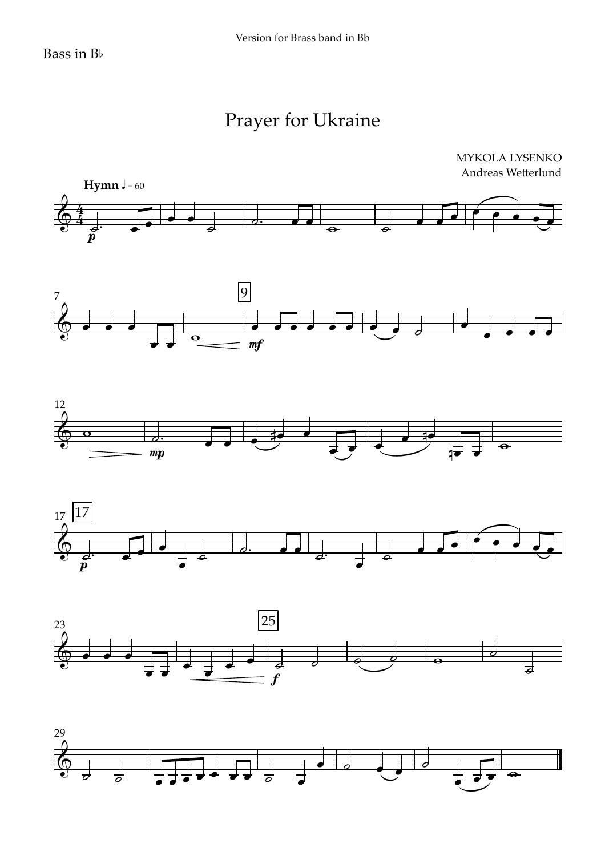MYKOLA LYSENKO Andreas Wetterlund











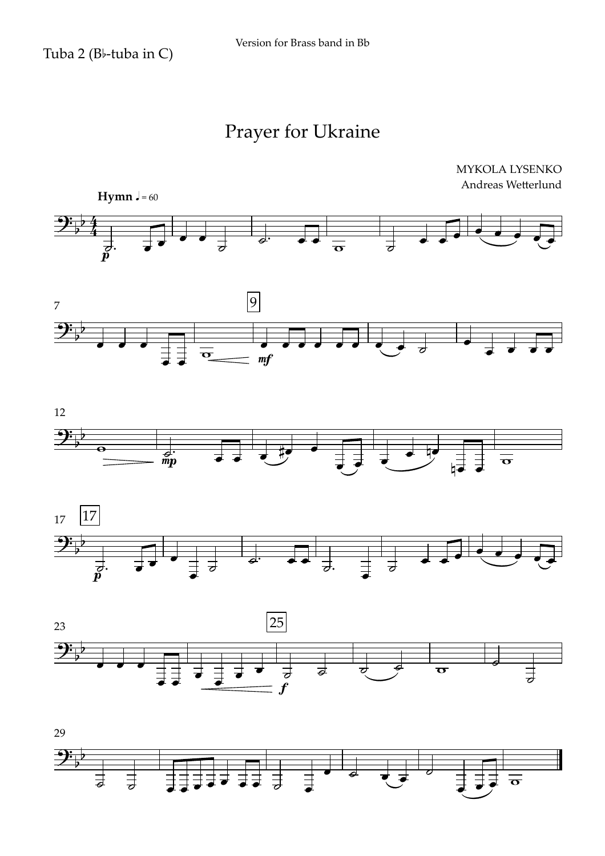









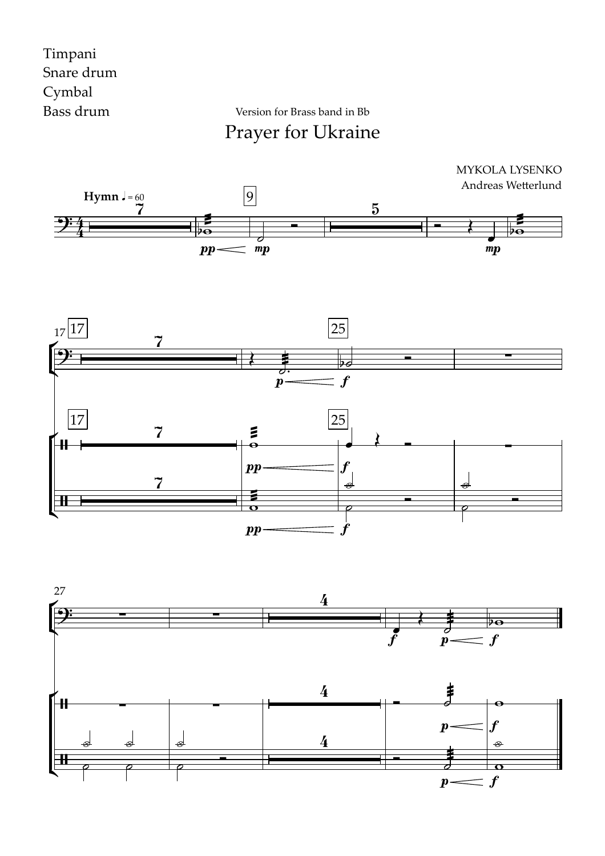#### Timpani Snare drum Cymbal Bass drum

Version for Brass band in Bb

Prayer for Ukraine





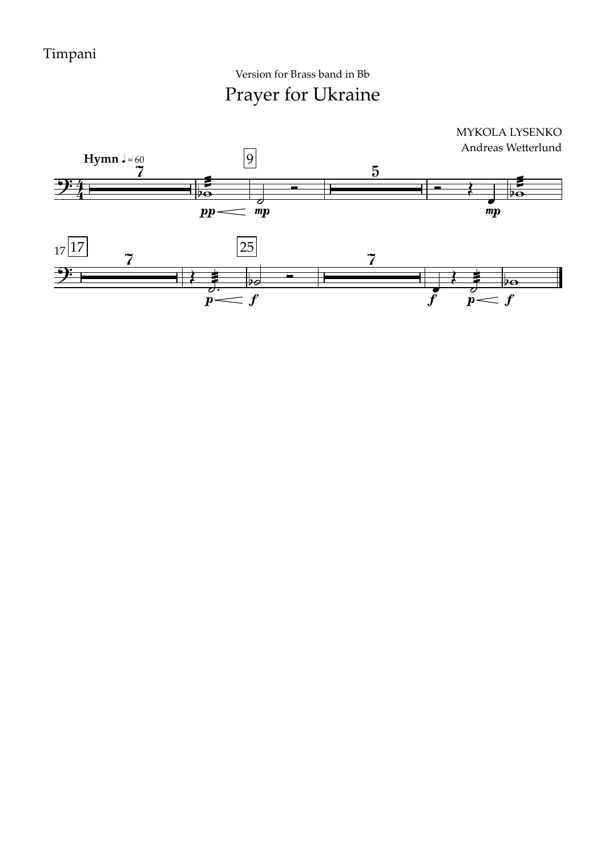Prayer for Ukraine Version for Brass band in Bb

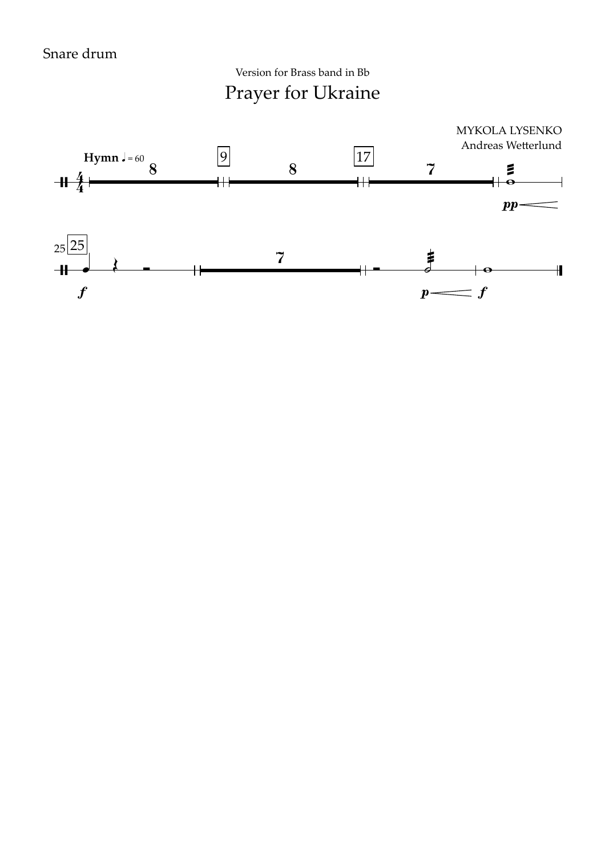Prayer for Ukraine Version for Brass band in Bb